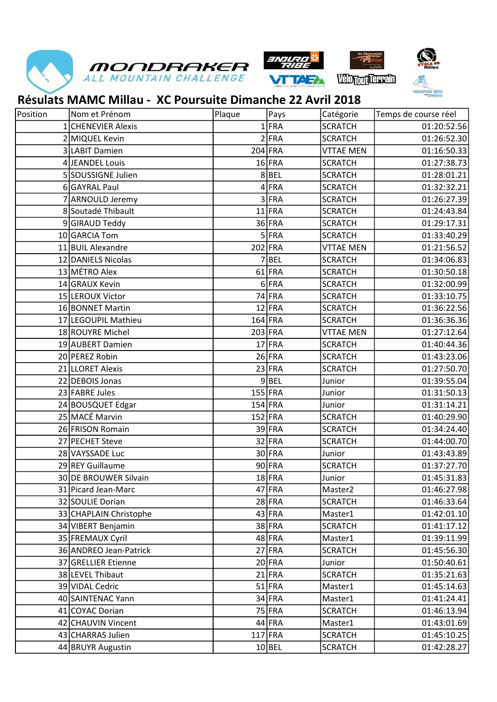







## Résulats MAMC Millau - XC Poursuite Dimanche 22 Avril 2018

| Position | Nom et Prénom          | Plaque | Pays      | Catégorie        | Temps de course réel |
|----------|------------------------|--------|-----------|------------------|----------------------|
|          | 1 CHENEVIER Alexis     |        | $1$ FRA   | <b>SCRATCH</b>   | 01:20:52.56          |
|          | 2 MIQUEL Kevin         |        | $2$ FRA   | <b>SCRATCH</b>   | 01:26:52.30          |
|          | 3 LABIT Damien         |        | 204 FRA   | <b>VTTAE MEN</b> | 01:16:50.33          |
|          | 4 JEANDEL Louis        |        | $16$ FRA  | <b>SCRATCH</b>   | 01:27:38.73          |
|          | 5 SOUSSIGNE Julien     |        | $8$ BEL   | <b>SCRATCH</b>   | 01:28:01.21          |
|          | 6 GAYRAL Paul          |        | $4$ FRA   | <b>SCRATCH</b>   | 01:32:32.21          |
|          | 7 ARNOULD Jeremy       |        | 3FRA      | <b>SCRATCH</b>   | 01:26:27.39          |
|          | 8 Soutadé Thibault     |        | $11$ FRA  | <b>SCRATCH</b>   | 01:24:43.84          |
|          | 9 GIRAUD Teddy         |        | 36 FRA    | <b>SCRATCH</b>   | 01:29:17.31          |
|          | 10 GARCIA Tom          |        | $5$ FRA   | <b>SCRATCH</b>   | 01:33:40.29          |
|          | 11 BUIL Alexandre      |        | 202 FRA   | <b>VTTAE MEN</b> | 01:21:56.52          |
|          | 12 DANIELS Nicolas     |        | $7$ BEL   | <b>SCRATCH</b>   | 01:34:06.83          |
|          | 13 MÉTRO Alex          |        | $61$ FRA  | <b>SCRATCH</b>   | 01:30:50.18          |
|          | 14 GRAUX Kevin         |        | $6$ FRA   | <b>SCRATCH</b>   | 01:32:00.99          |
|          | 15 LEROUX Victor       |        | 74 FRA    | <b>SCRATCH</b>   | 01:33:10.75          |
|          | 16 BONNET Martin       |        | $12$ FRA  | <b>SCRATCH</b>   | 01:36:22.56          |
|          | 17 LEGOUPIL Mathieu    |        | $164$ FRA | <b>SCRATCH</b>   | 01:36:36.36          |
|          | 18 ROUYRE Michel       |        | 203 FRA   | <b>VTTAE MEN</b> | 01:27:12.64          |
|          | 19 AUBERT Damien       |        | $17$ FRA  | <b>SCRATCH</b>   | 01:40:44.36          |
|          | 20 PEREZ Robin         |        | $26$ FRA  | <b>SCRATCH</b>   | 01:43:23.06          |
|          | 21 LLORET Alexis       |        | $23$ FRA  | <b>SCRATCH</b>   | 01:27:50.70          |
|          | 22 DEBOIS Jonas        |        | $9$ BEL   | Junior           | 01:39:55.04          |
|          | 23 FABRE Jules         |        | 155 FRA   | Junior           | 01:31:50.13          |
|          | 24 BOUSQUET Edgar      |        | $154$ FRA | Junior           | 01:31:14.21          |
|          | 25 MACÉ Marvin         |        | 152 FRA   | <b>SCRATCH</b>   | 01:40:29.90          |
|          | 26 FRISON Romain       |        | 39 FRA    | <b>SCRATCH</b>   | 01:34:24.40          |
|          | 27 PECHET Steve        |        | $32$ FRA  | <b>SCRATCH</b>   | 01:44:00.70          |
|          | 28 VAYSSADE Luc        |        | 30 FRA    | Junior           | 01:43:43.89          |
|          | 29 REY Guillaume       |        | 90FRA     | <b>SCRATCH</b>   | 01:37:27.70          |
|          | 30 DE BROUWER Silvain  |        | $18$ FRA  | Junior           | 01:45:31.83          |
|          | 31 Picard Jean-Marc    |        | $47$ FRA  | Master2          | 01:46:27.98          |
|          | 32 SOULIE Dorian       |        | 28 FRA    | <b>SCRATCH</b>   | 01:46:33.64          |
|          | 33 CHAPLAIN Christophe |        | $43$ FRA  | Master1          | 01:42:01.10          |
|          | 34 VIBERT Benjamin     |        | 38 FRA    | <b>SCRATCH</b>   | 01:41:17.12          |
|          | 35 FREMAUX Cyril       |        | $48$ FRA  | Master1          | 01:39:11.99          |
|          | 36 ANDREO Jean-Patrick |        | $27$ FRA  | <b>SCRATCH</b>   | 01:45:56.30          |
|          | 37 GRELLIER Etienne    |        | $20$ FRA  | Junior           | 01:50:40.61          |
|          | 38 LEVEL Thibaut       |        | $21$ FRA  | <b>SCRATCH</b>   | 01:35:21.63          |
|          | 39 VIDAL Cedric        |        | $51$ FRA  | Master1          | 01:45:14.63          |
|          | 40 SAINTENAC Yann      |        | $34$ FRA  | Master1          | 01:41:24.41          |
|          | 41 COYAC Dorian        |        | 75 FRA    | <b>SCRATCH</b>   | 01:46:13.94          |
|          | 42 CHAUVIN Vincent     |        | $44$ FRA  | Master1          | 01:43:01.69          |
|          | 43 CHARRAS Julien      |        | $117$ FRA | <b>SCRATCH</b>   | 01:45:10.25          |
|          | 44 BRUYR Augustin      |        | 10 BEL    | <b>SCRATCH</b>   | 01:42:28.27          |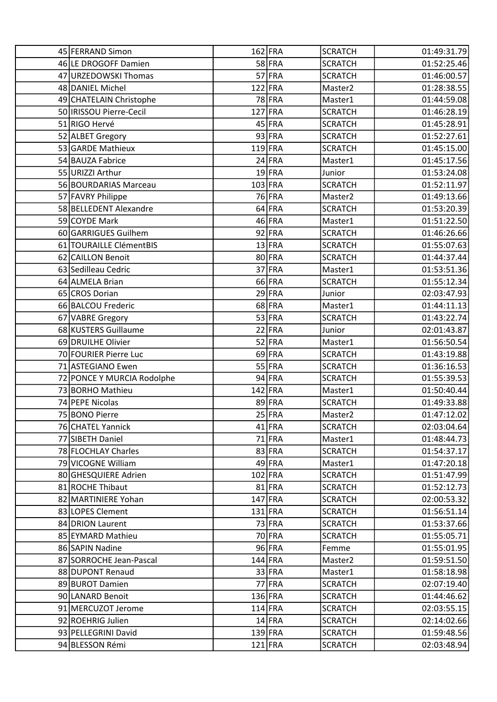| 45 FERRAND Simon           | 162 FRA   | <b>SCRATCH</b>      | 01:49:31.79 |
|----------------------------|-----------|---------------------|-------------|
| 46 LE DROGOFF Damien       | 58 FRA    | <b>SCRATCH</b>      | 01:52:25.46 |
| 47 URZEDOWSKI Thomas       | 57 FRA    | <b>SCRATCH</b>      | 01:46:00.57 |
| 48 DANIEL Michel           | 122 FRA   | Master2             | 01:28:38.55 |
| 49 CHATELAIN Christophe    | 78 FRA    | Master1             | 01:44:59.08 |
| 50   IRISSOU Pierre-Cecil  | 127 FRA   | <b>SCRATCH</b>      | 01:46:28.19 |
| 51 RIGO Hervé              | $45$ FRA  | <b>SCRATCH</b>      | 01:45:28.91 |
| 52 ALBET Gregory           | 93 FRA    | <b>SCRATCH</b>      | 01:52:27.61 |
| 53 GARDE Mathieux          | 119 FRA   | <b>SCRATCH</b>      | 01:45:15.00 |
| 54 BAUZA Fabrice           | $24$ FRA  | Master1             | 01:45:17.56 |
| 55 URIZZI Arthur           | $19$ FRA  | Junior              | 01:53:24.08 |
| 56 BOURDARIAS Marceau      | 103 FRA   | <b>SCRATCH</b>      | 01:52:11.97 |
| 57 FAVRY Philippe          | 76 FRA    | Master2             | 01:49:13.66 |
| 58 BELLEDENT Alexandre     | $64$ FRA  | <b>SCRATCH</b>      | 01:53:20.39 |
| 59 COYDE Mark              | $46$ FRA  | Master1             | 01:51:22.50 |
| 60 GARRIGUES Guilhem       | $92$ FRA  | <b>SCRATCH</b>      | 01:46:26.66 |
| 61 TOURAILLE ClémentBIS    | $13$ FRA  | <b>SCRATCH</b>      | 01:55:07.63 |
| 62 CAILLON Benoit          | 80 FRA    | <b>SCRATCH</b>      | 01:44:37.44 |
| 63 Sedilleau Cedric        | 37 FRA    | Master1             | 01:53:51.36 |
| 64 ALMELA Brian            | 66 FRA    | <b>SCRATCH</b>      | 01:55:12.34 |
| 65 CROS Dorian             | $29$ FRA  | Junior              | 02:03:47.93 |
| 66 BALCOU Frederic         | 68 FRA    | Master1             | 01:44:11.13 |
| 67 VABRE Gregory           | $53$ FRA  | <b>SCRATCH</b>      | 01:43:22.74 |
| 68 KUSTERS Guillaume       | $22$ FRA  | Junior              | 02:01:43.87 |
| 69 DRUILHE Olivier         | $52$ FRA  | Master1             | 01:56:50.54 |
| 70 FOURIER Pierre Luc      | $69$ FRA  | <b>SCRATCH</b>      | 01:43:19.88 |
| 71 ASTEGIANO Ewen          | $55$ FRA  | <b>SCRATCH</b>      | 01:36:16.53 |
| 72 PONCE Y MURCIA Rodolphe | 94 FRA    | <b>SCRATCH</b>      | 01:55:39.53 |
| 73 BORHO Mathieu           | 142 FRA   | Master1             | 01:50:40.44 |
| 74 PEPE Nicolas            | 89 FRA    | <b>SCRATCH</b>      | 01:49:33.88 |
| 75 BONO Pierre             | $25$ FRA  | Master <sub>2</sub> | 01:47:12.02 |
| 76 CHATEL Yannick          | $41$ FRA  | <b>SCRATCH</b>      | 02:03:04.64 |
| 77 SIBETH Daniel           | $71$ FRA  | Master1             | 01:48:44.73 |
| 78 FLOCHLAY Charles        | 83 FRA    | <b>SCRATCH</b>      | 01:54:37.17 |
| 79 VICOGNE William         | $49$ FRA  | Master1             | 01:47:20.18 |
| 80 GHESQUIERE Adrien       | 102 FRA   | <b>SCRATCH</b>      | 01:51:47.99 |
| 81 ROCHE Thibaut           | $81$ FRA  | <b>SCRATCH</b>      | 01:52:12.73 |
| 82 MARTINIERE Yohan        | 147 FRA   | <b>SCRATCH</b>      | 02:00:53.32 |
| 83 LOPES Clement           | 131 FRA   | <b>SCRATCH</b>      | 01:56:51.14 |
| 84 DRION Laurent           | $73$ FRA  | <b>SCRATCH</b>      | 01:53:37.66 |
| 85 EYMARD Mathieu          | 70 FRA    | <b>SCRATCH</b>      | 01:55:05.71 |
| 86 SAPIN Nadine            | 96 FRA    | Femme               | 01:55:01.95 |
| 87 SORROCHE Jean-Pascal    | 144 FRA   | Master <sub>2</sub> | 01:59:51.50 |
| 88 DUPONT Renaud           | $33$ FRA  | Master1             | 01:58:18.98 |
| 89 BUROT Damien            | 77 FRA    | <b>SCRATCH</b>      | 02:07:19.40 |
| 90 LANARD Benoit           | 136 FRA   | <b>SCRATCH</b>      | 01:44:46.62 |
| 91 MERCUZOT Jerome         | 114 FRA   | <b>SCRATCH</b>      | 02:03:55.15 |
| 92 ROEHRIG Julien          | $14$ FRA  | <b>SCRATCH</b>      | 02:14:02.66 |
| 93 PELLEGRINI David        | $139$ FRA | <b>SCRATCH</b>      | 01:59:48.56 |
| 94 BLESSON Rémi            | $121$ FRA | <b>SCRATCH</b>      | 02:03:48.94 |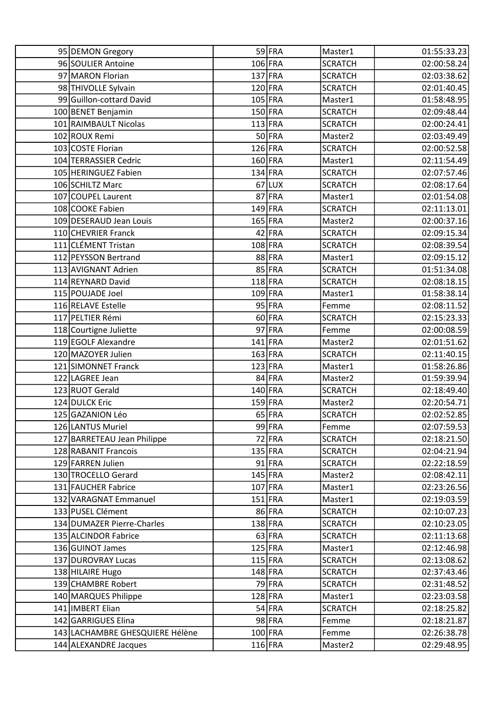| 95 DEMON Gregory                | 59 FRA    | Master1             | 01:55:33.23 |
|---------------------------------|-----------|---------------------|-------------|
| 96 SOULIER Antoine              | 106 FRA   | <b>SCRATCH</b>      | 02:00:58.24 |
| 97 MARON Florian                | 137 FRA   | <b>SCRATCH</b>      | 02:03:38.62 |
| 98 THIVOLLE Sylvain             | 120 FRA   | <b>SCRATCH</b>      | 02:01:40.45 |
| 99 Guillon-cottard David        | 105 FRA   | Master1             | 01:58:48.95 |
| 100 BENET Benjamin              | 150 FRA   | <b>SCRATCH</b>      | 02:09:48.44 |
| 101 RAIMBAULT Nicolas           | $113$ FRA | <b>SCRATCH</b>      | 02:00:24.41 |
| 102 ROUX Remi                   | 50FRA     | Master2             | 02:03:49.49 |
| 103 COSTE Florian               | 126 FRA   | <b>SCRATCH</b>      | 02:00:52.58 |
| 104 TERRASSIER Cedric           | 160 FRA   | Master1             | 02:11:54.49 |
| 105 HERINGUEZ Fabien            | 134 FRA   | <b>SCRATCH</b>      | 02:07:57.46 |
| 106 SCHILTZ Marc                | $67$ LUX  | <b>SCRATCH</b>      | 02:08:17.64 |
| 107 COUPEL Laurent              | 87 FRA    | Master1             | 02:01:54.08 |
| 108 COOKE Fabien                | 149 FRA   | <b>SCRATCH</b>      | 02:11:13.01 |
| 109 DESERAUD Jean Louis         | 165 FRA   | Master2             | 02:00:37.16 |
| 110 CHEVRIER Franck             | $42$ FRA  | <b>SCRATCH</b>      | 02:09:15.34 |
| 111 CLÉMENT Tristan             | 108 FRA   | <b>SCRATCH</b>      | 02:08:39.54 |
| 112 PEYSSON Bertrand            | 88 FRA    | Master1             | 02:09:15.12 |
| 113 AVIGNANT Adrien             | 85 FRA    | <b>SCRATCH</b>      | 01:51:34.08 |
| 114 REYNARD David               | 118 FRA   | <b>SCRATCH</b>      | 02:08:18.15 |
| 115 POUJADE Joel                | 109 FRA   | Master1             | 01:58:38.14 |
| 116 RELAVE Estelle              | 95 FRA    | Femme               | 02:08:11.52 |
| 117 PELTIER Rémi                | 60FRA     | <b>SCRATCH</b>      | 02:15:23.33 |
| 118 Courtigne Juliette          | $97$ FRA  | Femme               | 02:00:08.59 |
| 119 EGOLF Alexandre             | 141 FRA   | Master2             | 02:01:51.62 |
| 120 MAZOYER Julien              | 163 FRA   | <b>SCRATCH</b>      | 02:11:40.15 |
| 121 SIMONNET Franck             | 123 FRA   | Master1             | 01:58:26.86 |
| 122 LAGREE Jean                 | 84 FRA    | Master <sub>2</sub> | 01:59:39.94 |
| 123 RUOT Gerald                 | 140 FRA   | <b>SCRATCH</b>      | 02:18:49.40 |
| 124 DULCK Eric                  | 159 FRA   | Master2             | 02:20:54.71 |
| 125 GAZANION Léo                | 65 FRA    | <b>SCRATCH</b>      | 02:02:52.85 |
| 126 LANTUS Muriel               | 99 FRA    | Femme               | 02:07:59.53 |
| 127 BARRETEAU Jean Philippe     | 72 FRA    | <b>SCRATCH</b>      | 02:18:21.50 |
| 128 RABANIT Francois            | 135 FRA   | <b>SCRATCH</b>      | 02:04:21.94 |
| 129 FARREN Julien               | $91$ FRA  | <b>SCRATCH</b>      | 02:22:18.59 |
| 130 TROCELLO Gerard             | 145 FRA   | Master2             | 02:08:42.11 |
| 131 FAUCHER Fabrice             | 107 FRA   | Master1             | 02:23:26.56 |
| 132 VARAGNAT Emmanuel           | $151$ FRA | Master1             | 02:19:03.59 |
| 133 PUSEL Clément               | 86 FRA    | <b>SCRATCH</b>      | 02:10:07.23 |
| 134 DUMAZER Pierre-Charles      | 138 FRA   | <b>SCRATCH</b>      | 02:10:23.05 |
| 135 ALCINDOR Fabrice            | $63$ FRA  | <b>SCRATCH</b>      | 02:11:13.68 |
| 136 GUINOT James                | 125 FRA   | Master1             | 02:12:46.98 |
| 137 DUROVRAY Lucas              | $115$ FRA | <b>SCRATCH</b>      | 02:13:08.62 |
| 138 HILAIRE Hugo                | 148 FRA   | <b>SCRATCH</b>      | 02:37:43.46 |
| 139 CHAMBRE Robert              | 79 FRA    | <b>SCRATCH</b>      | 02:31:48.52 |
| 140 MARQUES Philippe            | 128 FRA   | Master1             | 02:23:03.58 |
| 141   IMBERT Elian              | $54$ FRA  | <b>SCRATCH</b>      | 02:18:25.82 |
| 142 GARRIGUES Elina             | 98 FRA    | Femme               | 02:18:21.87 |
| 143 LACHAMBRE GHESQUIERE Hélène | 100 FRA   | Femme               | 02:26:38.78 |
| 144 ALEXANDRE Jacques           | 116 FRA   | Master2             | 02:29:48.95 |